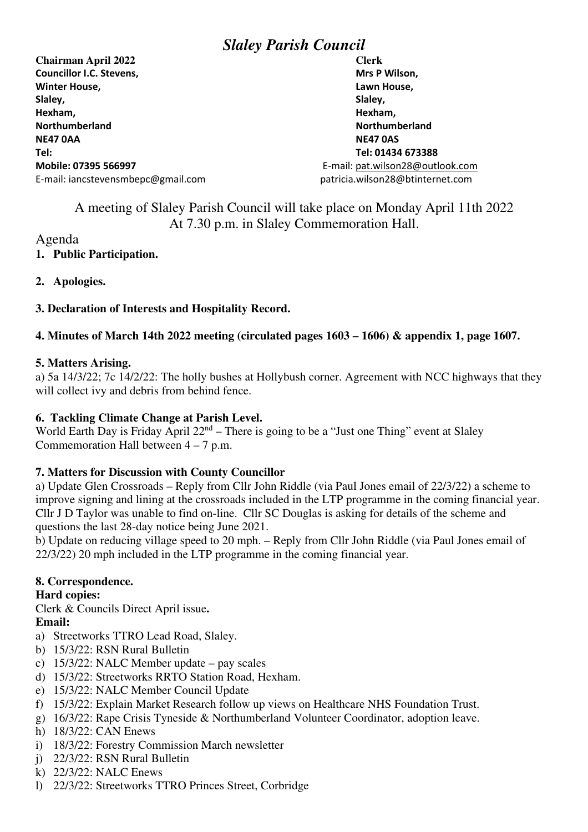# *Slaley Parish Council*

**Chairman April 2022 Clerk Councillor I.C. Stevens.** Mrs P Wilson, **Mrs P Wilson, Winter House, Lawn House, Lawn House, Lawn House, Lawn House, Slaley, Slaley, Hexham, Hexham, Northumberland Northumberland NE47 0AA NE47 0AS Tel: Tel: 01434 673388 Mobile: 07395 566997** E-mail: pat.wilson28@outlook.com E-mail: iancstevensmbepc@gmail.com patricia.wilson28@btinternet.com

A meeting of Slaley Parish Council will take place on Monday April 11th 2022 At 7.30 p.m. in Slaley Commemoration Hall.

#### Agenda **1. Public Participation.**

# **2. Apologies.**

# **3. Declaration of Interests and Hospitality Record.**

# **4. Minutes of March 14th 2022 meeting (circulated pages 1603 – 1606) & appendix 1, page 1607.**

#### **5. Matters Arising.**

a) 5a 14/3/22; 7c 14/2/22: The holly bushes at Hollybush corner. Agreement with NCC highways that they will collect ivy and debris from behind fence.

### **6. Tackling Climate Change at Parish Level.**

World Earth Day is Friday April 22<sup>nd</sup> – There is going to be a "Just one Thing" event at Slaley Commemoration Hall between  $4 - 7$  p.m.

## **7. Matters for Discussion with County Councillor**

a) Update Glen Crossroads – Reply from Cllr John Riddle (via Paul Jones email of 22/3/22) a scheme to improve signing and lining at the crossroads included in the LTP programme in the coming financial year. Cllr J D Taylor was unable to find on-line. Cllr SC Douglas is asking for details of the scheme and questions the last 28-day notice being June 2021.

b) Update on reducing village speed to 20 mph. – Reply from Cllr John Riddle (via Paul Jones email of 22/3/22) 20 mph included in the LTP programme in the coming financial year.

## **8. Correspondence.**

## **Hard copies:**

Clerk & Councils Direct April issue**. Email:** 

- a) Streetworks TTRO Lead Road, Slaley.
- b) 15/3/22: RSN Rural Bulletin
- c) 15/3/22: NALC Member update pay scales
- d) 15/3/22: Streetworks RRTO Station Road, Hexham.
- e) 15/3/22: NALC Member Council Update
- f) 15/3/22: Explain Market Research follow up views on Healthcare NHS Foundation Trust.
- g) 16/3/22: Rape Crisis Tyneside & Northumberland Volunteer Coordinator, adoption leave.
- h) 18/3/22: CAN Enews
- i) 18/3/22: Forestry Commission March newsletter
- j) 22/3/22: RSN Rural Bulletin
- k) 22/3/22: NALC Enews
- l) 22/3/22: Streetworks TTRO Princes Street, Corbridge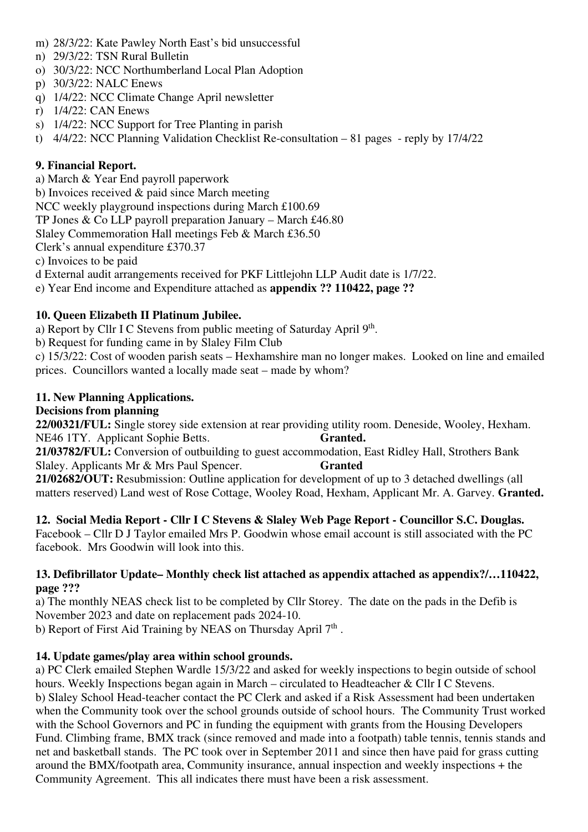- m) 28/3/22: Kate Pawley North East's bid unsuccessful
- n) 29/3/22: TSN Rural Bulletin
- o) 30/3/22: NCC Northumberland Local Plan Adoption
- p) 30/3/22: NALC Enews
- q) 1/4/22: NCC Climate Change April newsletter
- r) 1/4/22: CAN Enews
- s) 1/4/22: NCC Support for Tree Planting in parish
- t) 4/4/22: NCC Planning Validation Checklist Re-consultation 81 pages reply by 17/4/22

# **9. Financial Report.**

a) March & Year End payroll paperwork

b) Invoices received & paid since March meeting

NCC weekly playground inspections during March £100.69

TP Jones & Co LLP payroll preparation January – March £46.80

Slaley Commemoration Hall meetings Feb & March £36.50

Clerk's annual expenditure £370.37

c) Invoices to be paid

d External audit arrangements received for PKF Littlejohn LLP Audit date is 1/7/22.

e) Year End income and Expenditure attached as **appendix ?? 110422, page ??** 

# **10. Queen Elizabeth II Platinum Jubilee.**

a) Report by Cllr I C Stevens from public meeting of Saturday April  $9<sup>th</sup>$ .

b) Request for funding came in by Slaley Film Club

c) 15/3/22: Cost of wooden parish seats – Hexhamshire man no longer makes. Looked on line and emailed prices. Councillors wanted a locally made seat – made by whom?

# **11. New Planning Applications.**

## **Decisions from planning**

**22/00321/FUL:** Single storey side extension at rear providing utility room. Deneside, Wooley, Hexham. NE46 1TY. Applicant Sophie Betts. **Granted.**

**21/03782/FUL:** Conversion of outbuilding to guest accommodation, East Ridley Hall, Strothers Bank Slaley. Applicants Mr & Mrs Paul Spencer. **Granted** 

**21/02682/OUT:** Resubmission: Outline application for development of up to 3 detached dwellings (all matters reserved) Land west of Rose Cottage, Wooley Road, Hexham, Applicant Mr. A. Garvey. **Granted.** 

**12. Social Media Report - Cllr I C Stevens & Slaley Web Page Report - Councillor S.C. Douglas.**  Facebook – Cllr D J Taylor emailed Mrs P. Goodwin whose email account is still associated with the PC facebook. Mrs Goodwin will look into this.

#### **13. Defibrillator Update– Monthly check list attached as appendix attached as appendix?/…110422, page ???**

a) The monthly NEAS check list to be completed by Cllr Storey. The date on the pads in the Defib is November 2023 and date on replacement pads 2024-10.

b) Report of First Aid Training by NEAS on Thursday April  $7<sup>th</sup>$ .

# **14. Update games/play area within school grounds.**

a) PC Clerk emailed Stephen Wardle 15/3/22 and asked for weekly inspections to begin outside of school hours. Weekly Inspections began again in March – circulated to Headteacher & Cllr I C Stevens. b) Slaley School Head-teacher contact the PC Clerk and asked if a Risk Assessment had been undertaken when the Community took over the school grounds outside of school hours. The Community Trust worked with the School Governors and PC in funding the equipment with grants from the Housing Developers Fund. Climbing frame, BMX track (since removed and made into a footpath) table tennis, tennis stands and net and basketball stands. The PC took over in September 2011 and since then have paid for grass cutting around the BMX/footpath area, Community insurance, annual inspection and weekly inspections + the Community Agreement. This all indicates there must have been a risk assessment.